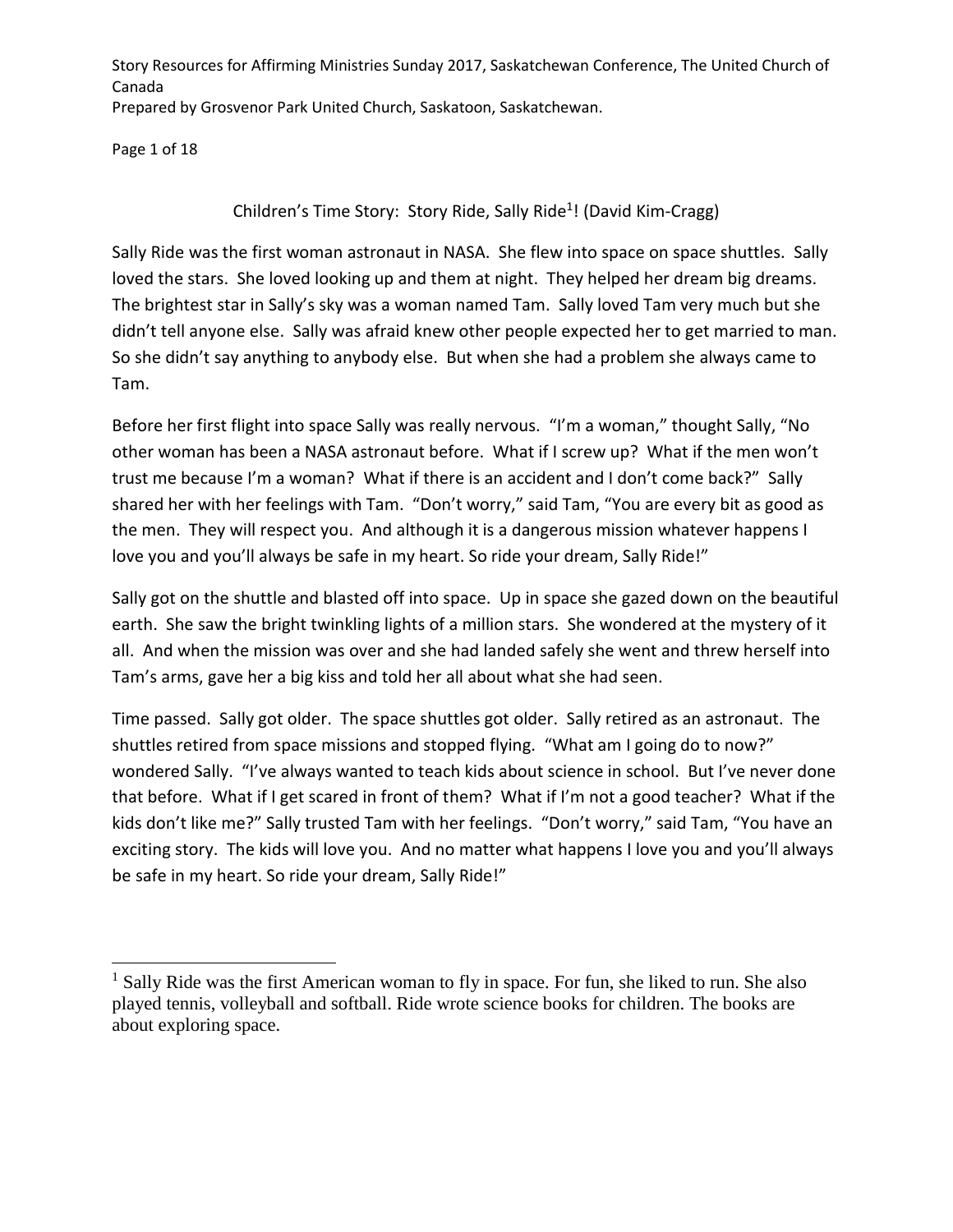Page 1 of 18

 $\overline{\phantom{a}}$ 

Children's Time Story: Story Ride, Sally Ride<sup>1</sup>! (David Kim-Cragg)

Sally Ride was the first woman astronaut in NASA. She flew into space on space shuttles. Sally loved the stars. She loved looking up and them at night. They helped her dream big dreams. The brightest star in Sally's sky was a woman named Tam. Sally loved Tam very much but she didn't tell anyone else. Sally was afraid knew other people expected her to get married to man. So she didn't say anything to anybody else. But when she had a problem she always came to Tam.

Before her first flight into space Sally was really nervous. "I'm a woman," thought Sally, "No other woman has been a NASA astronaut before. What if I screw up? What if the men won't trust me because I'm a woman? What if there is an accident and I don't come back?" Sally shared her with her feelings with Tam. "Don't worry," said Tam, "You are every bit as good as the men. They will respect you. And although it is a dangerous mission whatever happens I love you and you'll always be safe in my heart. So ride your dream, Sally Ride!"

Sally got on the shuttle and blasted off into space. Up in space she gazed down on the beautiful earth. She saw the bright twinkling lights of a million stars. She wondered at the mystery of it all. And when the mission was over and she had landed safely she went and threw herself into Tam's arms, gave her a big kiss and told her all about what she had seen.

Time passed. Sally got older. The space shuttles got older. Sally retired as an astronaut. The shuttles retired from space missions and stopped flying. "What am I going do to now?" wondered Sally. "I've always wanted to teach kids about science in school. But I've never done that before. What if I get scared in front of them? What if I'm not a good teacher? What if the kids don't like me?" Sally trusted Tam with her feelings. "Don't worry," said Tam, "You have an exciting story. The kids will love you. And no matter what happens I love you and you'll always be safe in my heart. So ride your dream, Sally Ride!"

<sup>&</sup>lt;sup>1</sup> Sally Ride was the first American woman to fly in space. For fun, she liked to run. She also played tennis, volleyball and softball. Ride wrote science books for children. The books are about exploring space.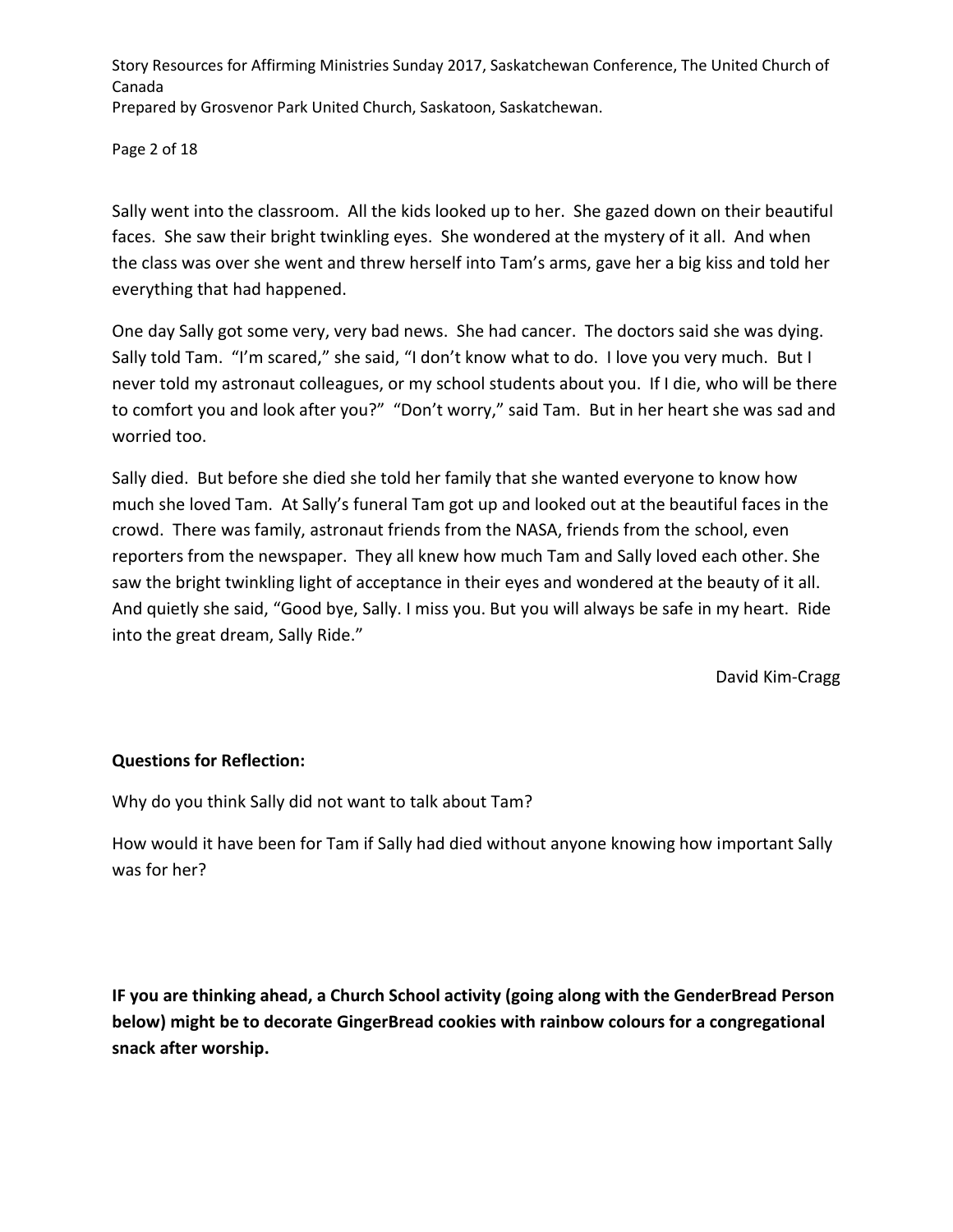Page 2 of 18

Sally went into the classroom. All the kids looked up to her. She gazed down on their beautiful faces. She saw their bright twinkling eyes. She wondered at the mystery of it all. And when the class was over she went and threw herself into Tam's arms, gave her a big kiss and told her everything that had happened.

One day Sally got some very, very bad news. She had cancer. The doctors said she was dying. Sally told Tam. "I'm scared," she said, "I don't know what to do. I love you very much. But I never told my astronaut colleagues, or my school students about you. If I die, who will be there to comfort you and look after you?" "Don't worry," said Tam. But in her heart she was sad and worried too.

Sally died. But before she died she told her family that she wanted everyone to know how much she loved Tam. At Sally's funeral Tam got up and looked out at the beautiful faces in the crowd. There was family, astronaut friends from the NASA, friends from the school, even reporters from the newspaper. They all knew how much Tam and Sally loved each other. She saw the bright twinkling light of acceptance in their eyes and wondered at the beauty of it all. And quietly she said, "Good bye, Sally. I miss you. But you will always be safe in my heart. Ride into the great dream, Sally Ride."

David Kim-Cragg

### **Questions for Reflection:**

Why do you think Sally did not want to talk about Tam?

How would it have been for Tam if Sally had died without anyone knowing how important Sally was for her?

**IF you are thinking ahead, a Church School activity (going along with the GenderBread Person below) might be to decorate GingerBread cookies with rainbow colours for a congregational snack after worship.**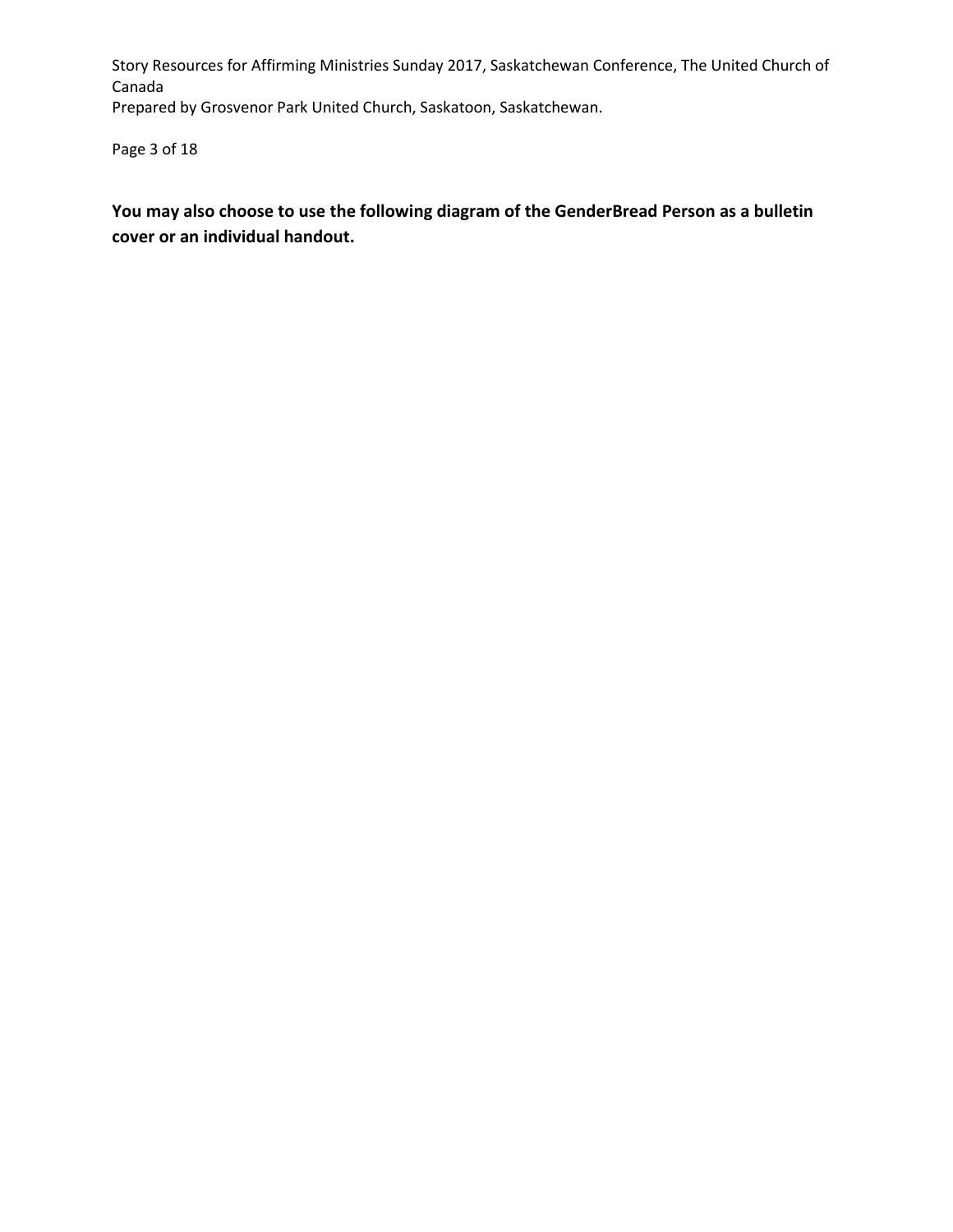Page 3 of 18

**You may also choose to use the following diagram of the GenderBread Person as a bulletin cover or an individual handout.**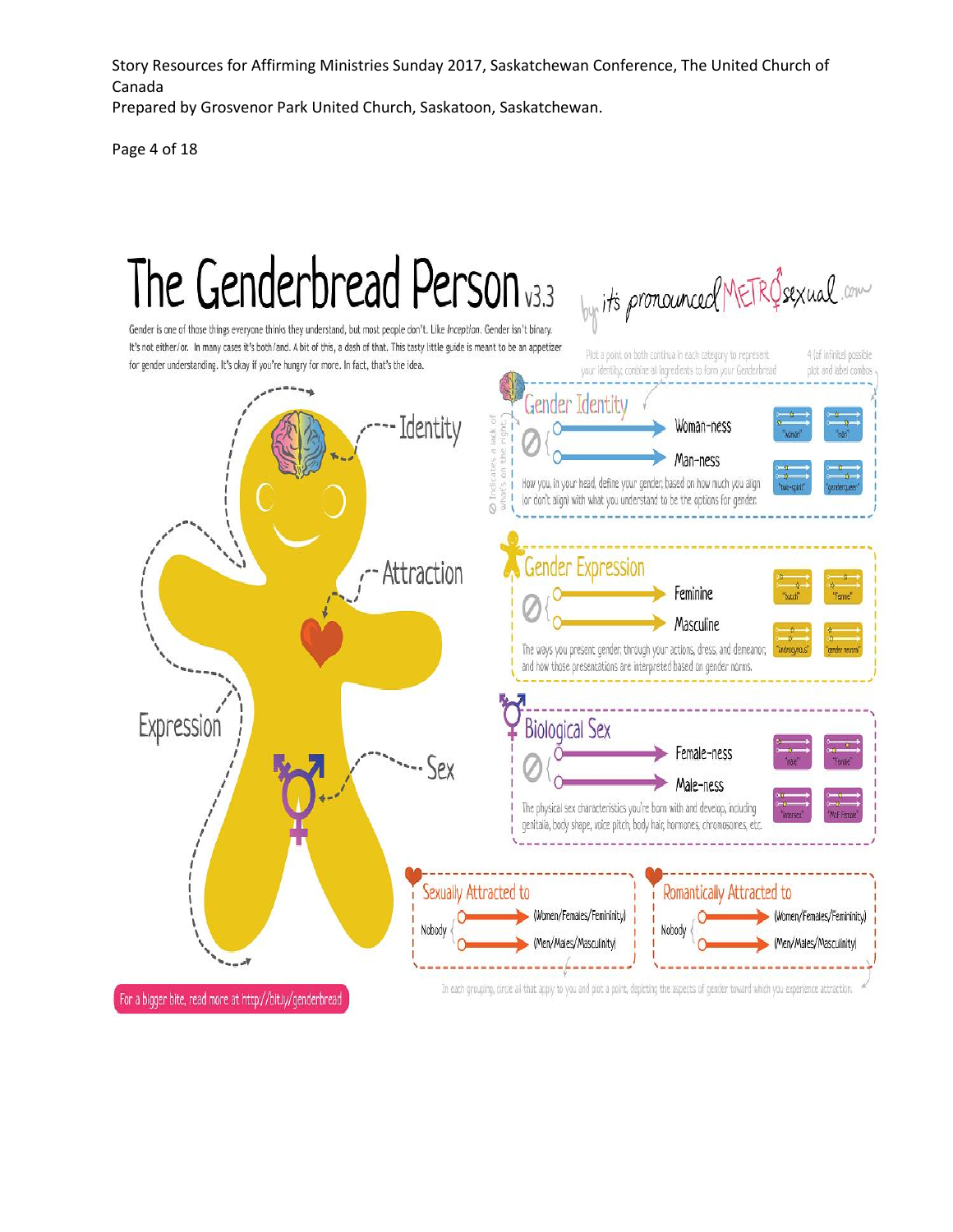Story Resources for Affirming Ministries Sunday 2017, Saskatchewan Conference, The United Church of Canada

Prepared by Grosvenor Park United Church, Saskatoon, Saskatchewan.

Page 4 of 18

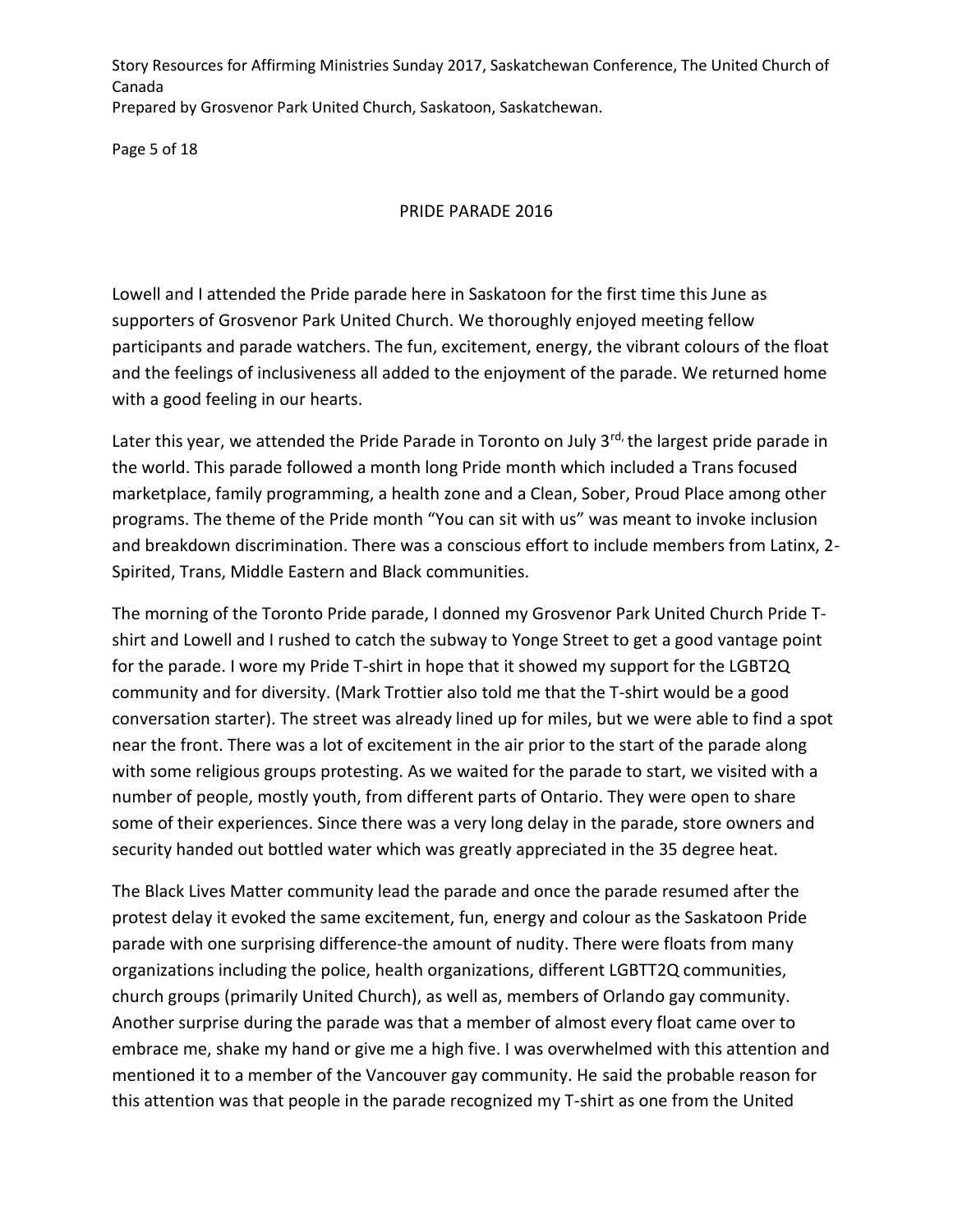Page 5 of 18

#### PRIDE PARADE 2016

Lowell and I attended the Pride parade here in Saskatoon for the first time this June as supporters of Grosvenor Park United Church. We thoroughly enjoyed meeting fellow participants and parade watchers. The fun, excitement, energy, the vibrant colours of the float and the feelings of inclusiveness all added to the enjoyment of the parade. We returned home with a good feeling in our hearts.

Later this year, we attended the Pride Parade in Toronto on July 3rd, the largest pride parade in the world. This parade followed a month long Pride month which included a Trans focused marketplace, family programming, a health zone and a Clean, Sober, Proud Place among other programs. The theme of the Pride month "You can sit with us" was meant to invoke inclusion and breakdown discrimination. There was a conscious effort to include members from Latinx, 2- Spirited, Trans, Middle Eastern and Black communities.

The morning of the Toronto Pride parade, I donned my Grosvenor Park United Church Pride Tshirt and Lowell and I rushed to catch the subway to Yonge Street to get a good vantage point for the parade. I wore my Pride T-shirt in hope that it showed my support for the LGBT2Q community and for diversity. (Mark Trottier also told me that the T-shirt would be a good conversation starter). The street was already lined up for miles, but we were able to find a spot near the front. There was a lot of excitement in the air prior to the start of the parade along with some religious groups protesting. As we waited for the parade to start, we visited with a number of people, mostly youth, from different parts of Ontario. They were open to share some of their experiences. Since there was a very long delay in the parade, store owners and security handed out bottled water which was greatly appreciated in the 35 degree heat.

The Black Lives Matter community lead the parade and once the parade resumed after the protest delay it evoked the same excitement, fun, energy and colour as the Saskatoon Pride parade with one surprising difference-the amount of nudity. There were floats from many organizations including the police, health organizations, different LGBTT2Q communities, church groups (primarily United Church), as well as, members of Orlando gay community. Another surprise during the parade was that a member of almost every float came over to embrace me, shake my hand or give me a high five. I was overwhelmed with this attention and mentioned it to a member of the Vancouver gay community. He said the probable reason for this attention was that people in the parade recognized my T-shirt as one from the United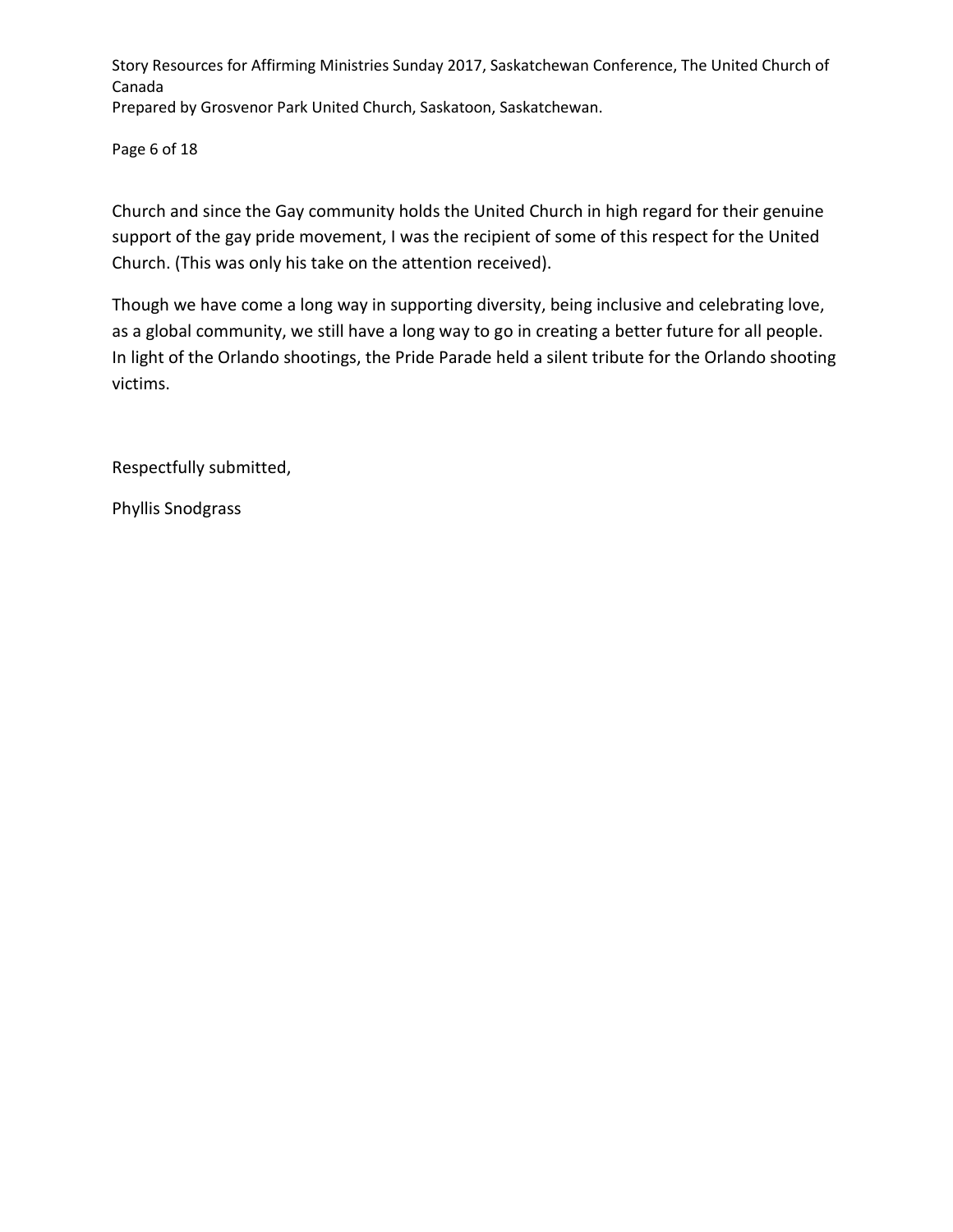Page 6 of 18

Church and since the Gay community holds the United Church in high regard for their genuine support of the gay pride movement, I was the recipient of some of this respect for the United Church. (This was only his take on the attention received).

Though we have come a long way in supporting diversity, being inclusive and celebrating love, as a global community, we still have a long way to go in creating a better future for all people. In light of the Orlando shootings, the Pride Parade held a silent tribute for the Orlando shooting victims.

Respectfully submitted,

Phyllis Snodgrass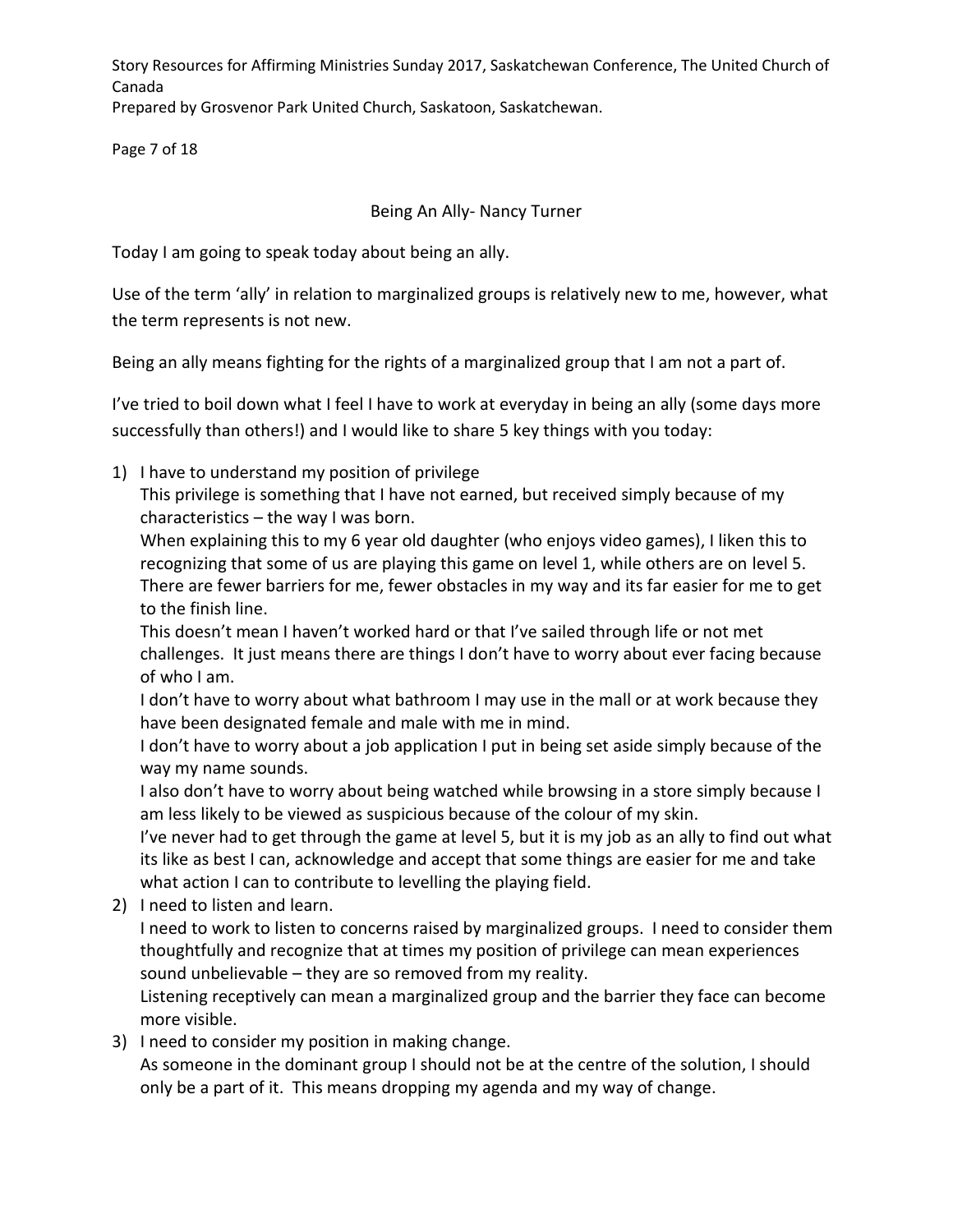Story Resources for Affirming Ministries Sunday 2017, Saskatchewan Conference, The United Church of Canada

Prepared by Grosvenor Park United Church, Saskatoon, Saskatchewan.

Page 7 of 18

# Being An Ally- Nancy Turner

Today I am going to speak today about being an ally.

Use of the term 'ally' in relation to marginalized groups is relatively new to me, however, what the term represents is not new.

Being an ally means fighting for the rights of a marginalized group that I am not a part of.

I've tried to boil down what I feel I have to work at everyday in being an ally (some days more successfully than others!) and I would like to share 5 key things with you today:

1) I have to understand my position of privilege

This privilege is something that I have not earned, but received simply because of my characteristics – the way I was born.

When explaining this to my 6 year old daughter (who enjoys video games), I liken this to recognizing that some of us are playing this game on level 1, while others are on level 5. There are fewer barriers for me, fewer obstacles in my way and its far easier for me to get to the finish line.

This doesn't mean I haven't worked hard or that I've sailed through life or not met challenges. It just means there are things I don't have to worry about ever facing because of who I am.

I don't have to worry about what bathroom I may use in the mall or at work because they have been designated female and male with me in mind.

I don't have to worry about a job application I put in being set aside simply because of the way my name sounds.

I also don't have to worry about being watched while browsing in a store simply because I am less likely to be viewed as suspicious because of the colour of my skin.

I've never had to get through the game at level 5, but it is my job as an ally to find out what its like as best I can, acknowledge and accept that some things are easier for me and take what action I can to contribute to levelling the playing field.

2) I need to listen and learn.

I need to work to listen to concerns raised by marginalized groups. I need to consider them thoughtfully and recognize that at times my position of privilege can mean experiences sound unbelievable – they are so removed from my reality.

Listening receptively can mean a marginalized group and the barrier they face can become more visible.

3) I need to consider my position in making change.

As someone in the dominant group I should not be at the centre of the solution, I should only be a part of it. This means dropping my agenda and my way of change.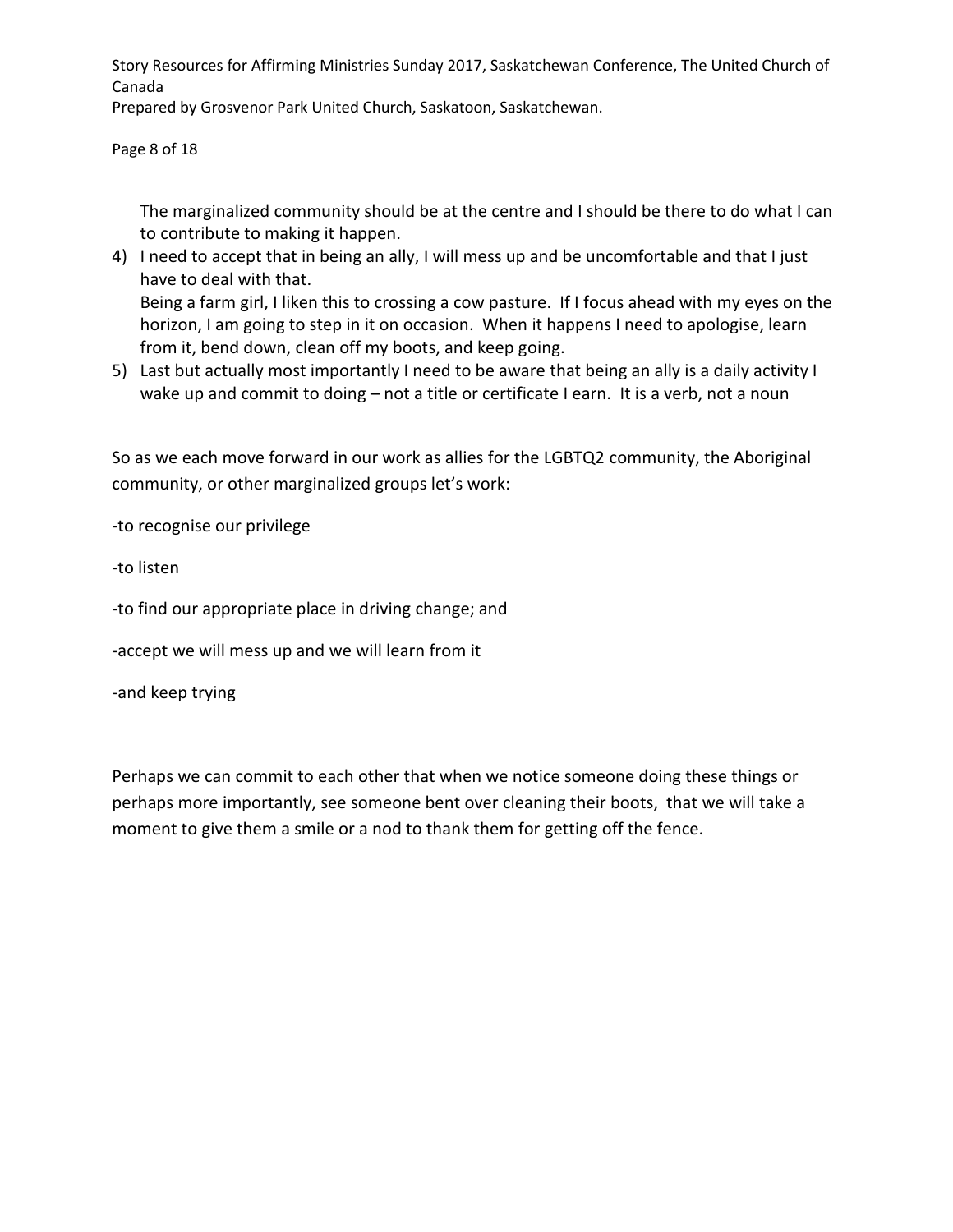Story Resources for Affirming Ministries Sunday 2017, Saskatchewan Conference, The United Church of Canada

Prepared by Grosvenor Park United Church, Saskatoon, Saskatchewan.

Page 8 of 18

The marginalized community should be at the centre and I should be there to do what I can to contribute to making it happen.

- 4) I need to accept that in being an ally, I will mess up and be uncomfortable and that I just have to deal with that. Being a farm girl, I liken this to crossing a cow pasture. If I focus ahead with my eyes on the horizon, I am going to step in it on occasion. When it happens I need to apologise, learn from it, bend down, clean off my boots, and keep going.
- 5) Last but actually most importantly I need to be aware that being an ally is a daily activity I wake up and commit to doing - not a title or certificate I earn. It is a verb, not a noun

So as we each move forward in our work as allies for the LGBTQ2 community, the Aboriginal community, or other marginalized groups let's work:

-to recognise our privilege

-to listen

-to find our appropriate place in driving change; and

-accept we will mess up and we will learn from it

-and keep trying

Perhaps we can commit to each other that when we notice someone doing these things or perhaps more importantly, see someone bent over cleaning their boots, that we will take a moment to give them a smile or a nod to thank them for getting off the fence.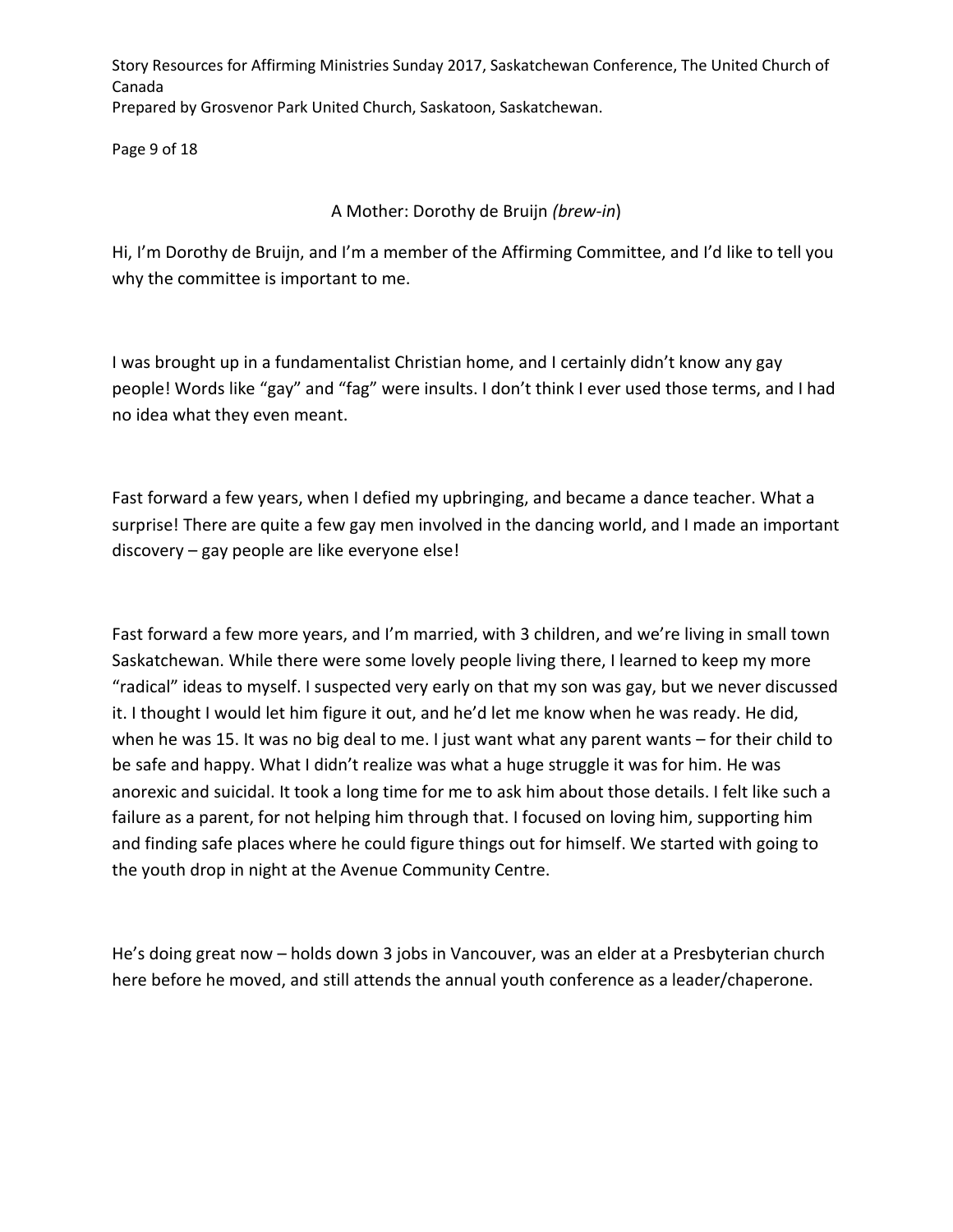Page 9 of 18

### A Mother: Dorothy de Bruijn *(brew-in*)

Hi, I'm Dorothy de Bruijn, and I'm a member of the Affirming Committee, and I'd like to tell you why the committee is important to me.

I was brought up in a fundamentalist Christian home, and I certainly didn't know any gay people! Words like "gay" and "fag" were insults. I don't think I ever used those terms, and I had no idea what they even meant.

Fast forward a few years, when I defied my upbringing, and became a dance teacher. What a surprise! There are quite a few gay men involved in the dancing world, and I made an important discovery – gay people are like everyone else!

Fast forward a few more years, and I'm married, with 3 children, and we're living in small town Saskatchewan. While there were some lovely people living there, I learned to keep my more "radical" ideas to myself. I suspected very early on that my son was gay, but we never discussed it. I thought I would let him figure it out, and he'd let me know when he was ready. He did, when he was 15. It was no big deal to me. I just want what any parent wants – for their child to be safe and happy. What I didn't realize was what a huge struggle it was for him. He was anorexic and suicidal. It took a long time for me to ask him about those details. I felt like such a failure as a parent, for not helping him through that. I focused on loving him, supporting him and finding safe places where he could figure things out for himself. We started with going to the youth drop in night at the Avenue Community Centre.

He's doing great now – holds down 3 jobs in Vancouver, was an elder at a Presbyterian church here before he moved, and still attends the annual youth conference as a leader/chaperone.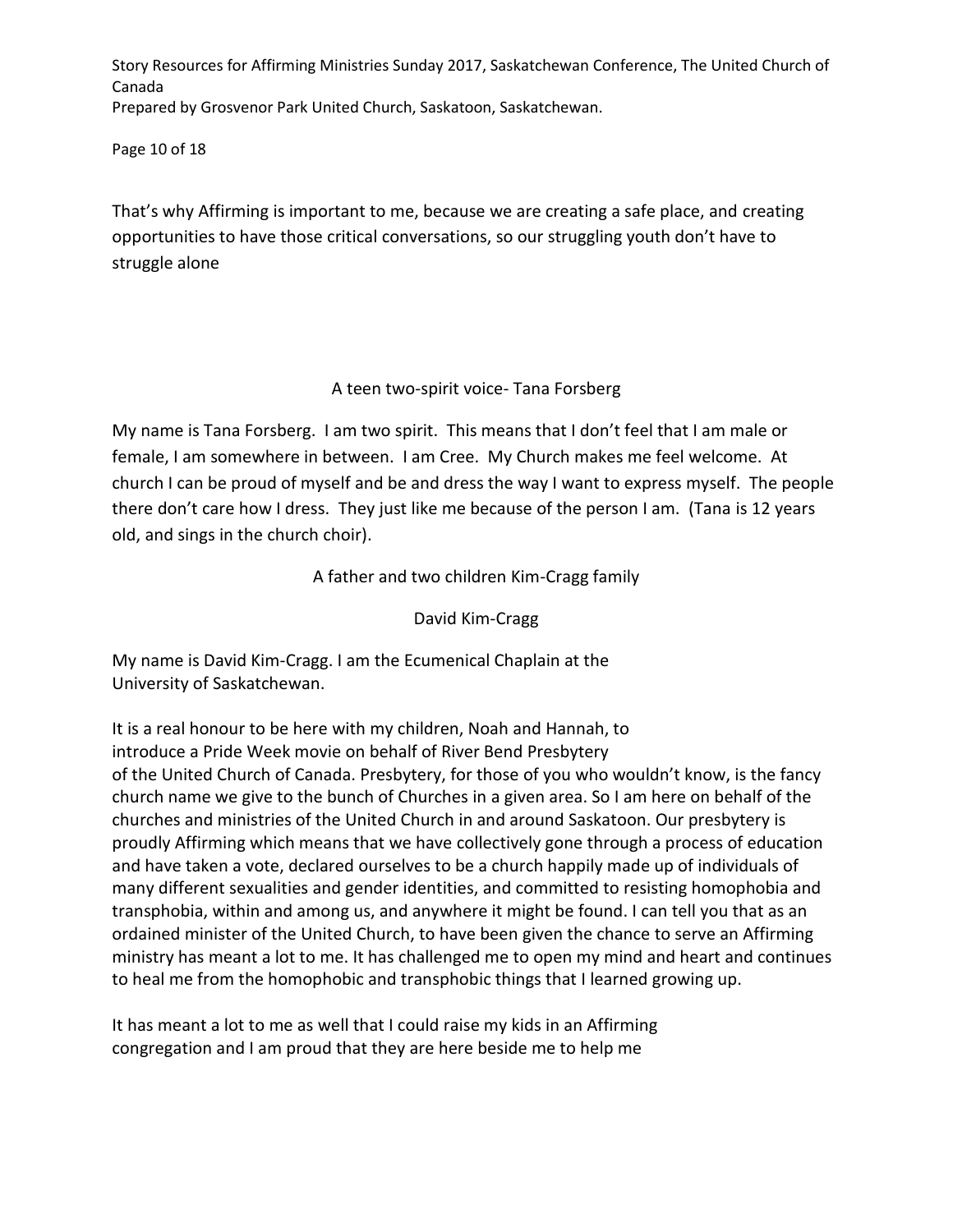Page 10 of 18

That's why Affirming is important to me, because we are creating a safe place, and creating opportunities to have those critical conversations, so our struggling youth don't have to struggle alone

A teen two-spirit voice- Tana Forsberg

My name is Tana Forsberg. I am two spirit. This means that I don't feel that I am male or female, I am somewhere in between. I am Cree. My Church makes me feel welcome. At church I can be proud of myself and be and dress the way I want to express myself. The people there don't care how I dress. They just like me because of the person I am. (Tana is 12 years old, and sings in the church choir).

A father and two children Kim-Cragg family

David Kim-Cragg

My name is David Kim-Cragg. I am the Ecumenical Chaplain at the University of Saskatchewan.

It is a real honour to be here with my children, Noah and Hannah, to introduce a Pride Week movie on behalf of River Bend Presbytery of the United Church of Canada. Presbytery, for those of you who wouldn't know, is the fancy church name we give to the bunch of Churches in a given area. So I am here on behalf of the churches and ministries of the United Church in and around Saskatoon. Our presbytery is proudly Affirming which means that we have collectively gone through a process of education and have taken a vote, declared ourselves to be a church happily made up of individuals of many different sexualities and gender identities, and committed to resisting homophobia and transphobia, within and among us, and anywhere it might be found. I can tell you that as an ordained minister of the United Church, to have been given the chance to serve an Affirming ministry has meant a lot to me. It has challenged me to open my mind and heart and continues to heal me from the homophobic and transphobic things that I learned growing up.

It has meant a lot to me as well that I could raise my kids in an Affirming congregation and I am proud that they are here beside me to help me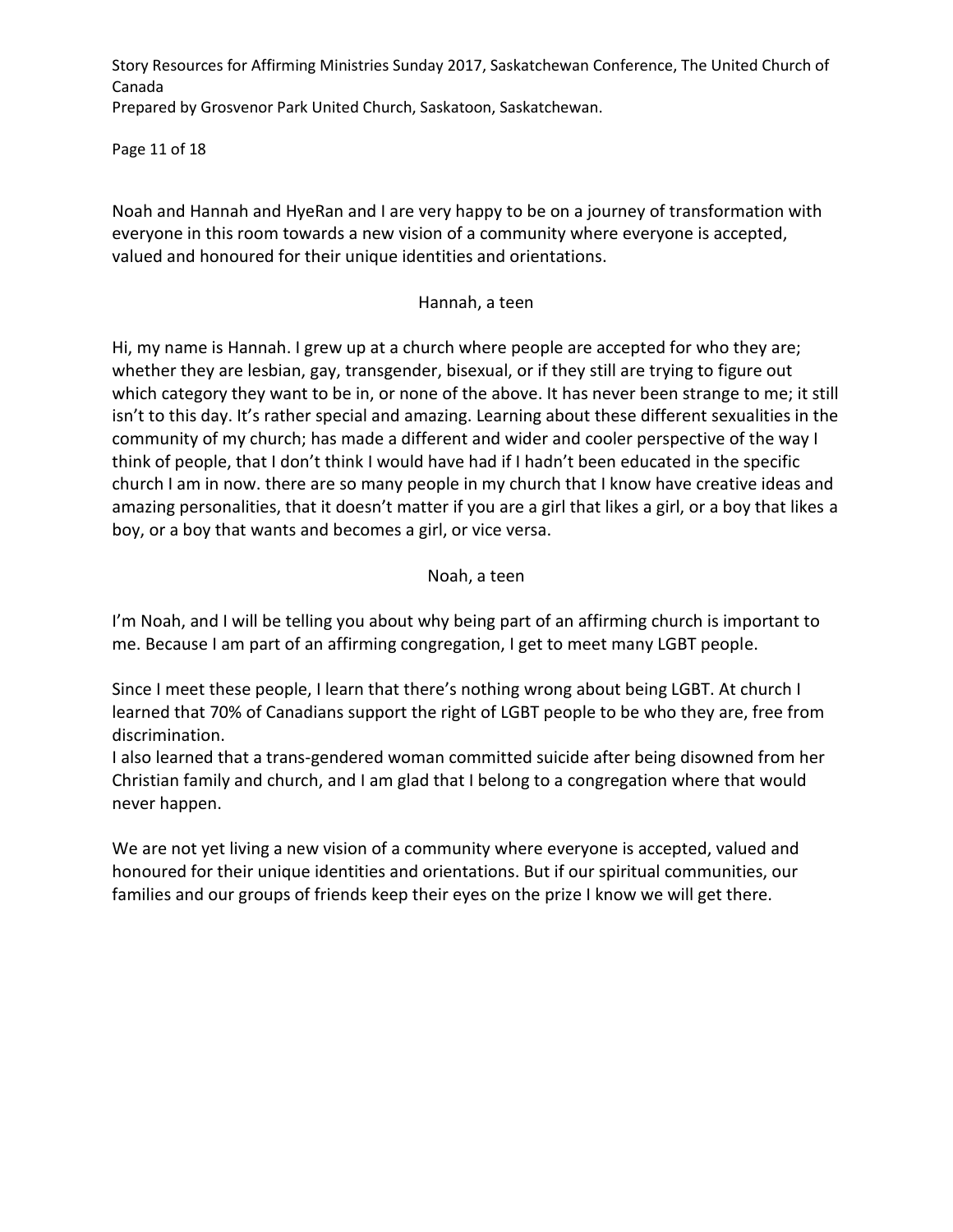Page 11 of 18

Noah and Hannah and HyeRan and I are very happy to be on a journey of transformation with everyone in this room towards a new vision of a community where everyone is accepted, valued and honoured for their unique identities and orientations.

#### Hannah, a teen

Hi, my name is Hannah. I grew up at a church where people are accepted for who they are; whether they are lesbian, gay, transgender, bisexual, or if they still are trying to figure out which category they want to be in, or none of the above. It has never been strange to me; it still isn't to this day. It's rather special and amazing. Learning about these different sexualities in the community of my church; has made a different and wider and cooler perspective of the way I think of people, that I don't think I would have had if I hadn't been educated in the specific church I am in now. there are so many people in my church that I know have creative ideas and amazing personalities, that it doesn't matter if you are a girl that likes a girl, or a boy that likes a boy, or a boy that wants and becomes a girl, or vice versa.

#### Noah, a teen

I'm Noah, and I will be telling you about why being part of an affirming church is important to me. Because I am part of an affirming congregation, I get to meet many LGBT people.

Since I meet these people, I learn that there's nothing wrong about being LGBT. At church I learned that 70% of Canadians support the right of LGBT people to be who they are, free from discrimination.

I also learned that a trans-gendered woman committed suicide after being disowned from her Christian family and church, and I am glad that I belong to a congregation where that would never happen.

We are not yet living a new vision of a community where everyone is accepted, valued and honoured for their unique identities and orientations. But if our spiritual communities, our families and our groups of friends keep their eyes on the prize I know we will get there.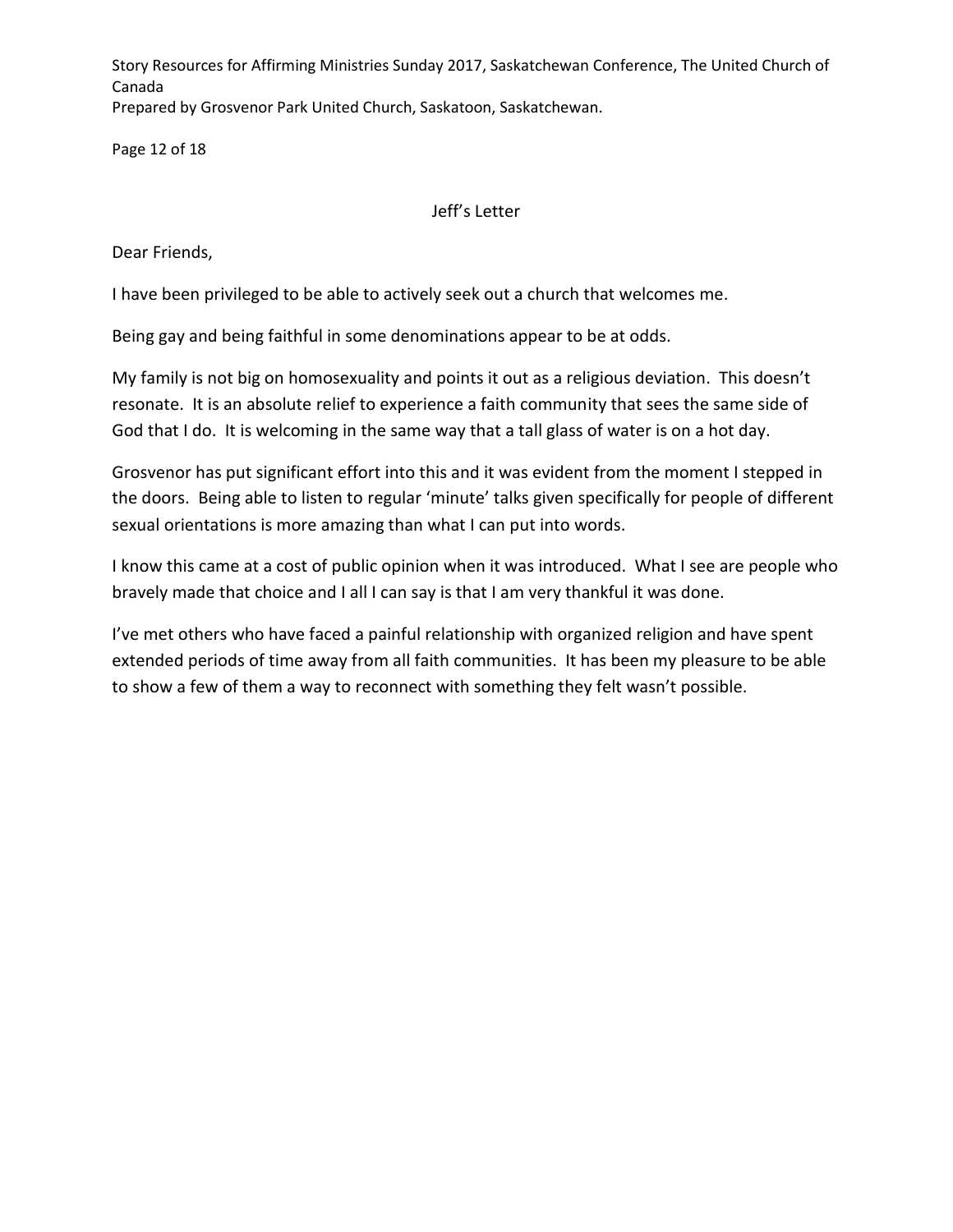Page 12 of 18

### Jeff's Letter

Dear Friends,

I have been privileged to be able to actively seek out a church that welcomes me.

Being gay and being faithful in some denominations appear to be at odds.

My family is not big on homosexuality and points it out as a religious deviation. This doesn't resonate. It is an absolute relief to experience a faith community that sees the same side of God that I do. It is welcoming in the same way that a tall glass of water is on a hot day.

Grosvenor has put significant effort into this and it was evident from the moment I stepped in the doors. Being able to listen to regular 'minute' talks given specifically for people of different sexual orientations is more amazing than what I can put into words.

I know this came at a cost of public opinion when it was introduced. What I see are people who bravely made that choice and I all I can say is that I am very thankful it was done.

I've met others who have faced a painful relationship with organized religion and have spent extended periods of time away from all faith communities. It has been my pleasure to be able to show a few of them a way to reconnect with something they felt wasn't possible.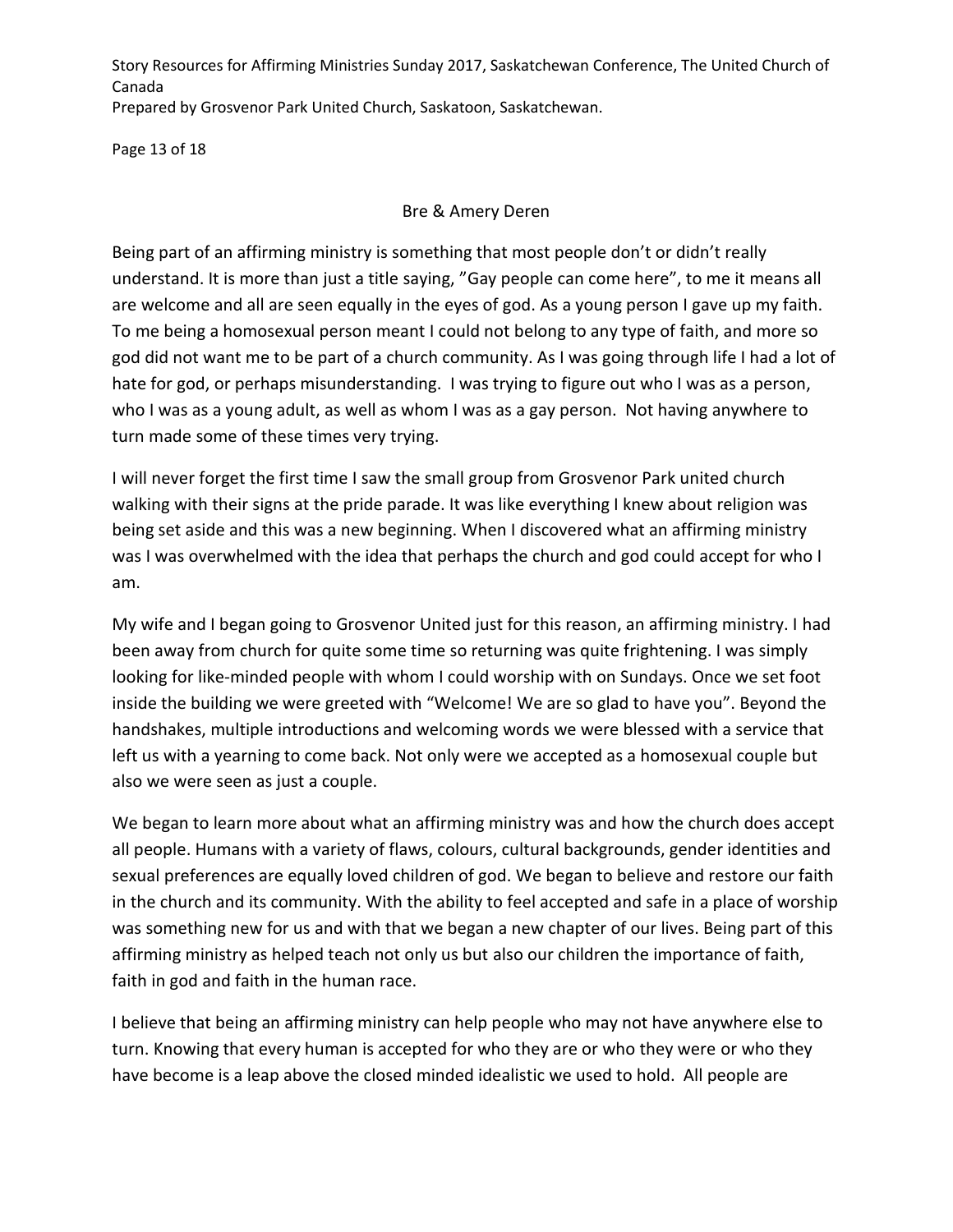Page 13 of 18

### Bre & Amery Deren

Being part of an affirming ministry is something that most people don't or didn't really understand. It is more than just a title saying, "Gay people can come here", to me it means all are welcome and all are seen equally in the eyes of god. As a young person I gave up my faith. To me being a homosexual person meant I could not belong to any type of faith, and more so god did not want me to be part of a church community. As I was going through life I had a lot of hate for god, or perhaps misunderstanding. I was trying to figure out who I was as a person, who I was as a young adult, as well as whom I was as a gay person. Not having anywhere to turn made some of these times very trying.

I will never forget the first time I saw the small group from Grosvenor Park united church walking with their signs at the pride parade. It was like everything I knew about religion was being set aside and this was a new beginning. When I discovered what an affirming ministry was I was overwhelmed with the idea that perhaps the church and god could accept for who I am.

My wife and I began going to Grosvenor United just for this reason, an affirming ministry. I had been away from church for quite some time so returning was quite frightening. I was simply looking for like-minded people with whom I could worship with on Sundays. Once we set foot inside the building we were greeted with "Welcome! We are so glad to have you". Beyond the handshakes, multiple introductions and welcoming words we were blessed with a service that left us with a yearning to come back. Not only were we accepted as a homosexual couple but also we were seen as just a couple.

We began to learn more about what an affirming ministry was and how the church does accept all people. Humans with a variety of flaws, colours, cultural backgrounds, gender identities and sexual preferences are equally loved children of god. We began to believe and restore our faith in the church and its community. With the ability to feel accepted and safe in a place of worship was something new for us and with that we began a new chapter of our lives. Being part of this affirming ministry as helped teach not only us but also our children the importance of faith, faith in god and faith in the human race.

I believe that being an affirming ministry can help people who may not have anywhere else to turn. Knowing that every human is accepted for who they are or who they were or who they have become is a leap above the closed minded idealistic we used to hold. All people are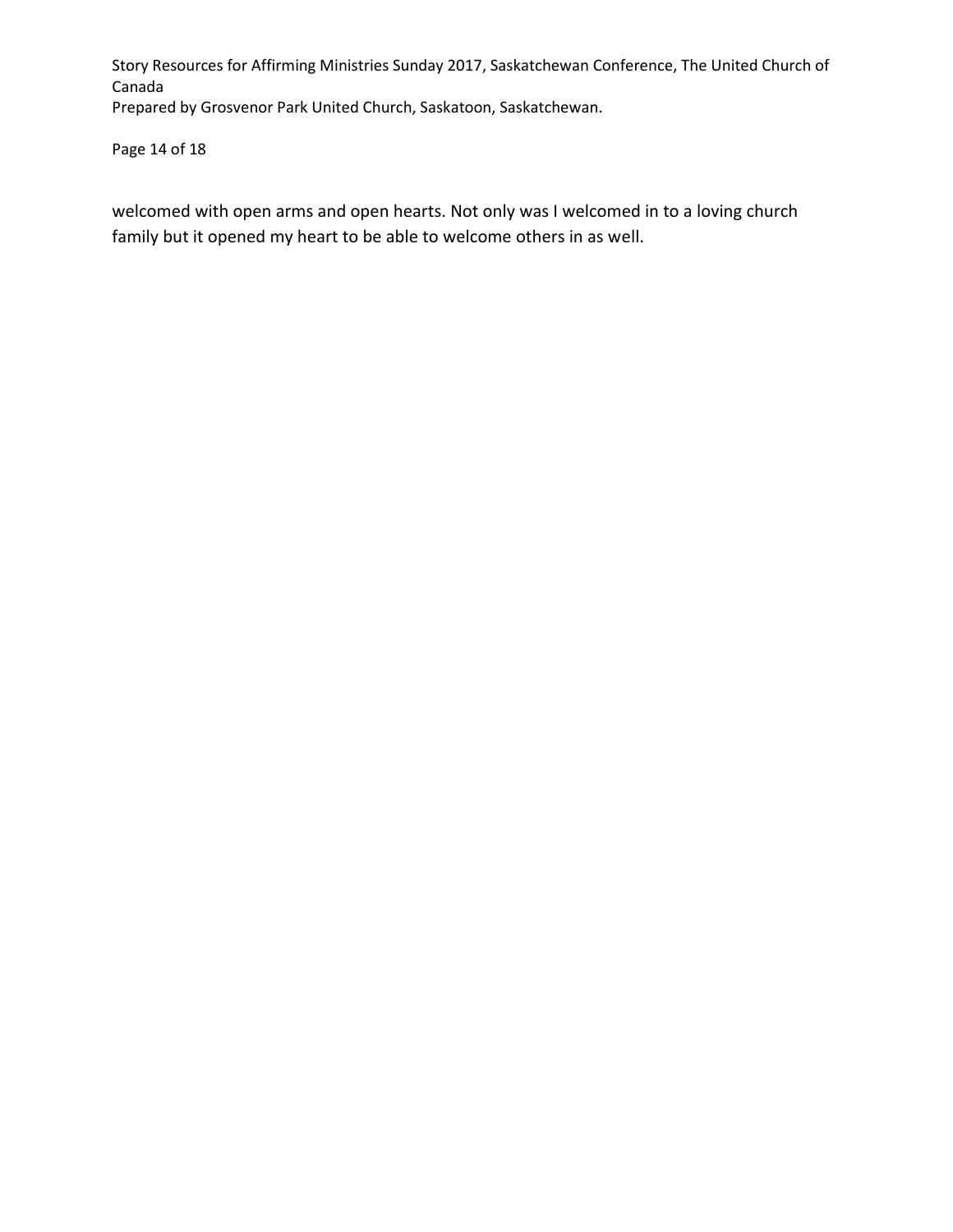Page 14 of 18

welcomed with open arms and open hearts. Not only was I welcomed in to a loving church family but it opened my heart to be able to welcome others in as well.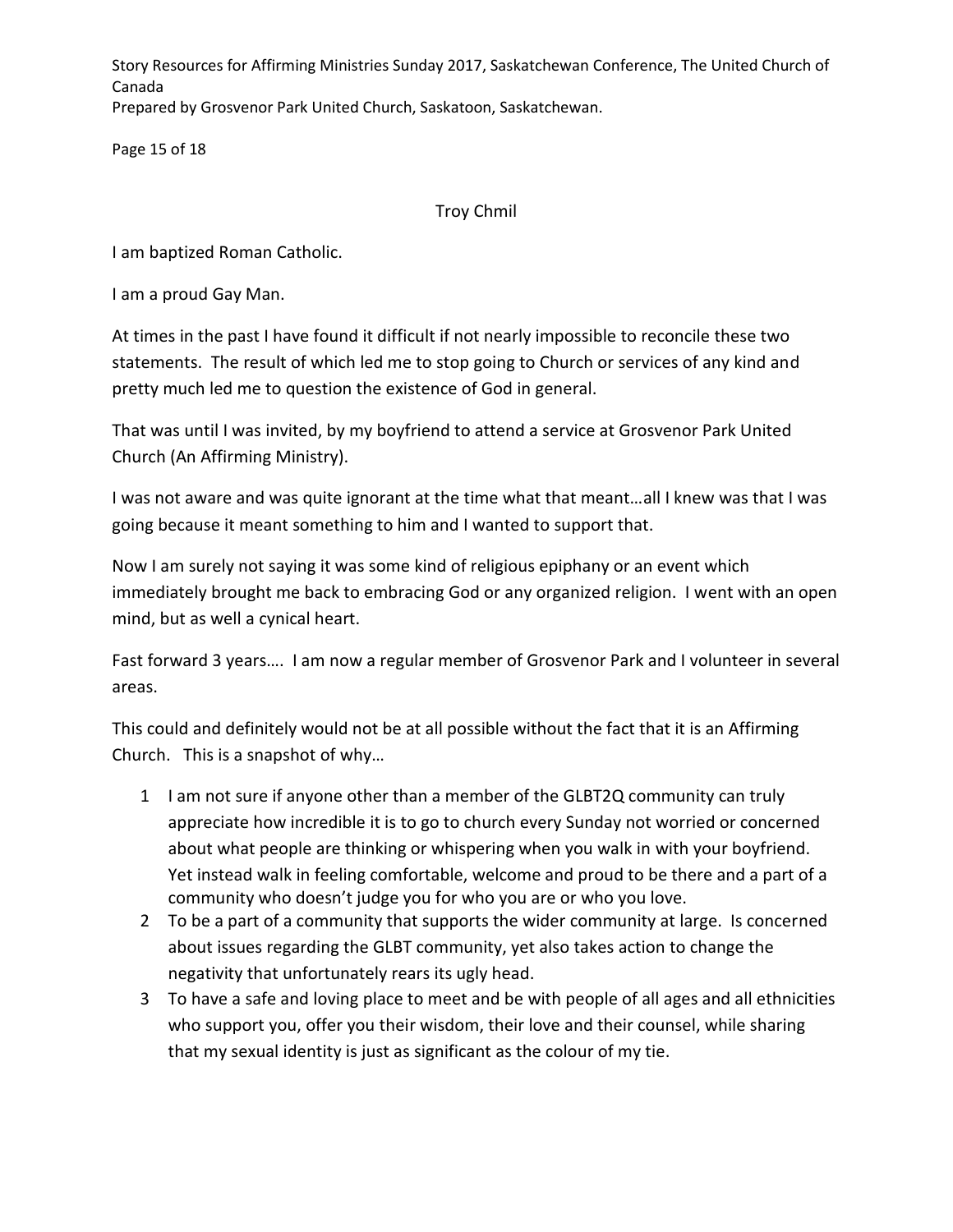Page 15 of 18

# Troy Chmil

I am baptized Roman Catholic.

I am a proud Gay Man.

At times in the past I have found it difficult if not nearly impossible to reconcile these two statements. The result of which led me to stop going to Church or services of any kind and pretty much led me to question the existence of God in general.

That was until I was invited, by my boyfriend to attend a service at Grosvenor Park United Church (An Affirming Ministry).

I was not aware and was quite ignorant at the time what that meant…all I knew was that I was going because it meant something to him and I wanted to support that.

Now I am surely not saying it was some kind of religious epiphany or an event which immediately brought me back to embracing God or any organized religion. I went with an open mind, but as well a cynical heart.

Fast forward 3 years…. I am now a regular member of Grosvenor Park and I volunteer in several areas.

This could and definitely would not be at all possible without the fact that it is an Affirming Church. This is a snapshot of why…

- 1 I am not sure if anyone other than a member of the GLBT2Q community can truly appreciate how incredible it is to go to church every Sunday not worried or concerned about what people are thinking or whispering when you walk in with your boyfriend. Yet instead walk in feeling comfortable, welcome and proud to be there and a part of a community who doesn't judge you for who you are or who you love.
- 2 To be a part of a community that supports the wider community at large. Is concerned about issues regarding the GLBT community, yet also takes action to change the negativity that unfortunately rears its ugly head.
- 3 To have a safe and loving place to meet and be with people of all ages and all ethnicities who support you, offer you their wisdom, their love and their counsel, while sharing that my sexual identity is just as significant as the colour of my tie.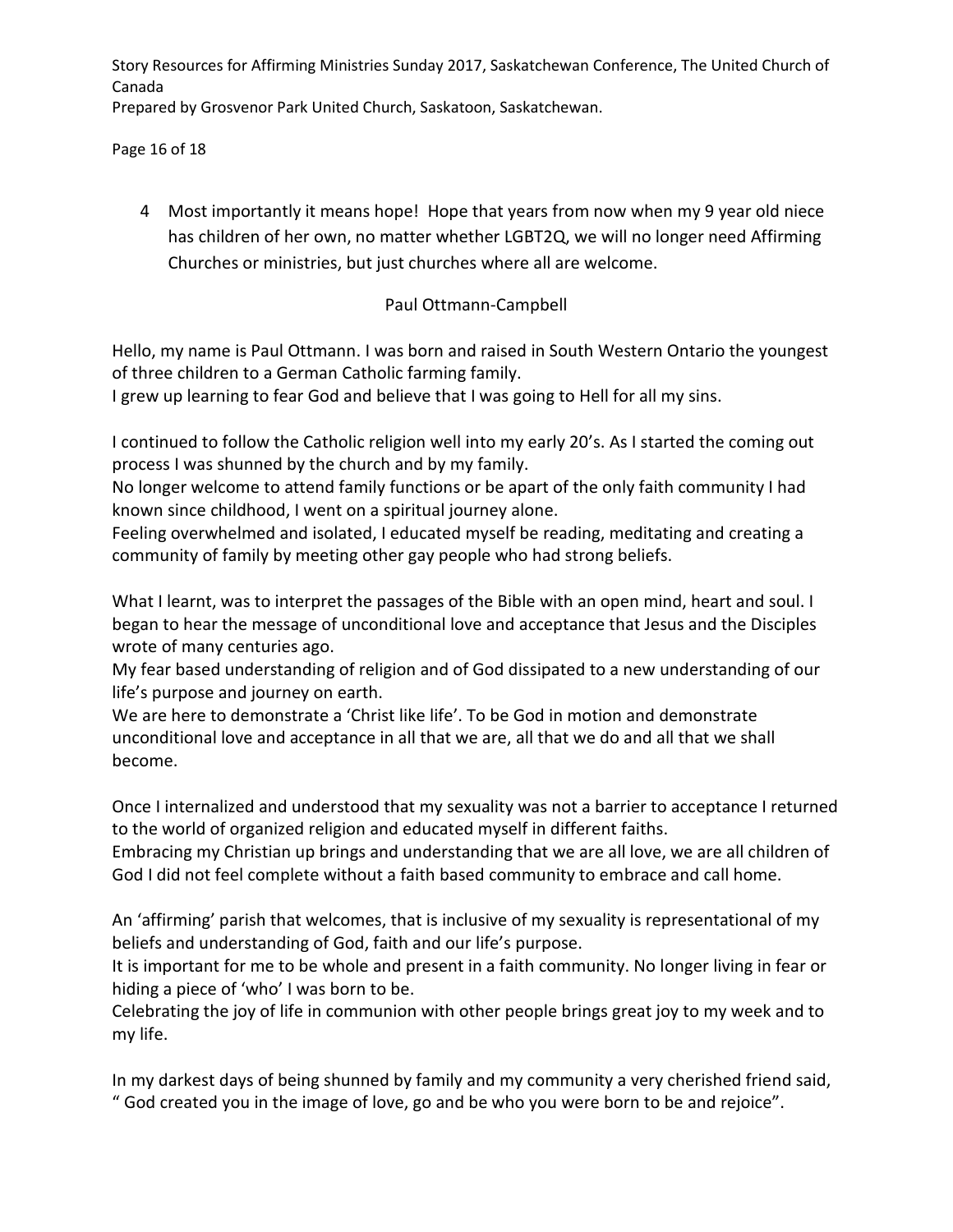Page 16 of 18

4 Most importantly it means hope! Hope that years from now when my 9 year old niece has children of her own, no matter whether LGBT2Q, we will no longer need Affirming Churches or ministries, but just churches where all are welcome.

## Paul Ottmann-Campbell

Hello, my name is Paul Ottmann. I was born and raised in South Western Ontario the youngest of three children to a German Catholic farming family.

I grew up learning to fear God and believe that I was going to Hell for all my sins.

I continued to follow the Catholic religion well into my early 20's. As I started the coming out process I was shunned by the church and by my family.

No longer welcome to attend family functions or be apart of the only faith community I had known since childhood, I went on a spiritual journey alone.

Feeling overwhelmed and isolated, I educated myself be reading, meditating and creating a community of family by meeting other gay people who had strong beliefs.

What I learnt, was to interpret the passages of the Bible with an open mind, heart and soul. I began to hear the message of unconditional love and acceptance that Jesus and the Disciples wrote of many centuries ago.

My fear based understanding of religion and of God dissipated to a new understanding of our life's purpose and journey on earth.

We are here to demonstrate a 'Christ like life'. To be God in motion and demonstrate unconditional love and acceptance in all that we are, all that we do and all that we shall become.

Once I internalized and understood that my sexuality was not a barrier to acceptance I returned to the world of organized religion and educated myself in different faiths.

Embracing my Christian up brings and understanding that we are all love, we are all children of God I did not feel complete without a faith based community to embrace and call home.

An 'affirming' parish that welcomes, that is inclusive of my sexuality is representational of my beliefs and understanding of God, faith and our life's purpose.

It is important for me to be whole and present in a faith community. No longer living in fear or hiding a piece of 'who' I was born to be.

Celebrating the joy of life in communion with other people brings great joy to my week and to my life.

In my darkest days of being shunned by family and my community a very cherished friend said, " God created you in the image of love, go and be who you were born to be and rejoice".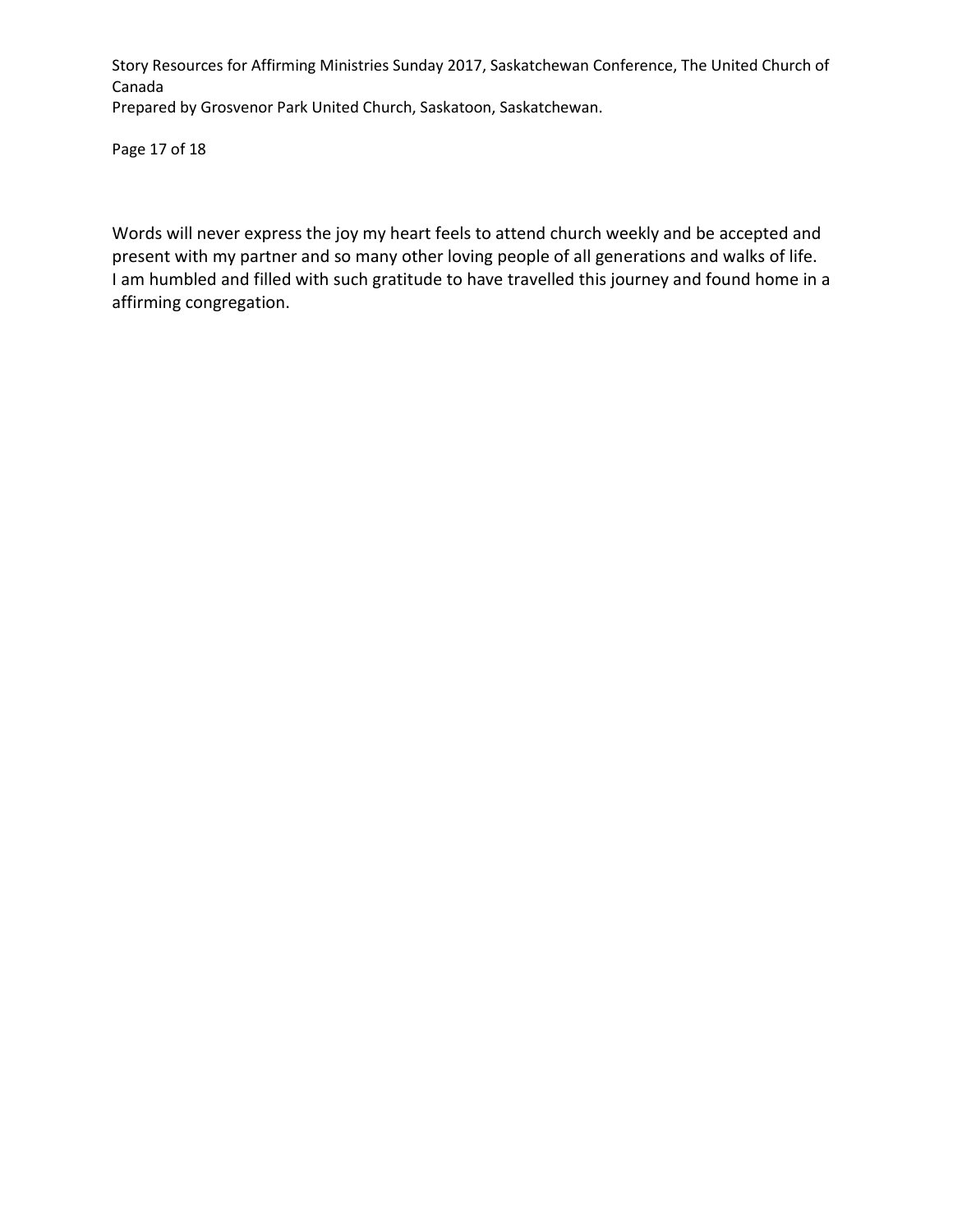Page 17 of 18

Words will never express the joy my heart feels to attend church weekly and be accepted and present with my partner and so many other loving people of all generations and walks of life. I am humbled and filled with such gratitude to have travelled this journey and found home in a affirming congregation.